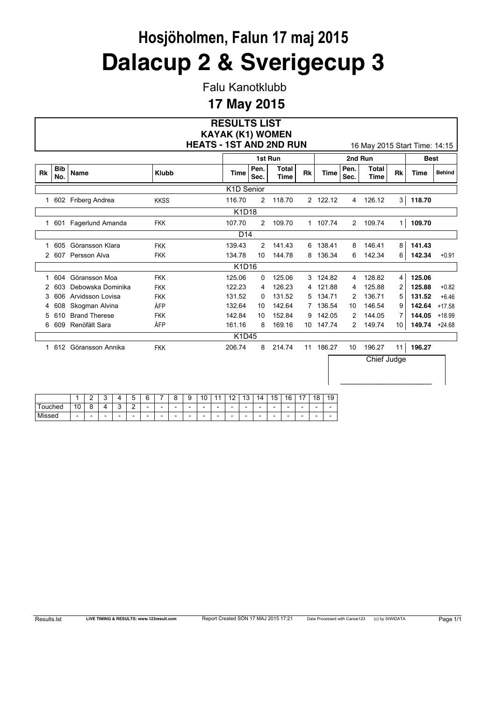Falu Kanotklubb

### **17 May 2015**

|               |                   |                      |                                | <b>RESULTS LIST</b>     |              |                      |           |             |                |                               |                |               |               |
|---------------|-------------------|----------------------|--------------------------------|-------------------------|--------------|----------------------|-----------|-------------|----------------|-------------------------------|----------------|---------------|---------------|
|               |                   |                      | <b>HEATS - 1ST AND 2ND RUN</b> | <b>KAYAK (K1) WOMEN</b> |              |                      |           |             |                | 16 May 2015 Start Time: 14:15 |                |               |               |
|               |                   |                      |                                |                         |              | 1st Run              |           |             |                | 2nd Run                       |                | <b>Best</b>   |               |
| <b>Rk</b>     | <b>Bib</b><br>No. | Name                 | <b>Klubb</b>                   | <b>Time</b>             | Pen.<br>Sec. | Total<br><b>Time</b> | <b>Rk</b> | <b>Time</b> | Pen.<br>Sec.   | <b>Total</b><br><b>Time</b>   | <b>Rk</b>      | <b>Time</b>   | <b>Behind</b> |
|               |                   |                      |                                | K1D Senior              |              |                      |           |             |                |                               |                |               |               |
| 1             |                   | 602 Friberg Andrea   | <b>KKSS</b>                    | 116.70                  | 2            | 118.70               |           | 2 122.12    | 4              | 126.12                        | 3              | 118.70        |               |
|               |                   |                      |                                | <b>K1D18</b>            |              |                      |           |             |                |                               |                |               |               |
| 1             | 601               | Fagerlund Amanda     | <b>FKK</b>                     | 107.70                  | 2            | 109.70               |           | 1 107.74    | $\overline{2}$ | 109.74                        | 1 <sup>1</sup> | 109.70        |               |
|               |                   |                      |                                | D <sub>14</sub>         |              |                      |           |             |                |                               |                |               |               |
| 1             | 605               | Göransson Klara      | <b>FKK</b>                     | 139.43                  | 2            | 141.43               | 6         | 138.41      | 8              | 146.41                        | 8              | 141.43        |               |
| $\mathcal{P}$ | 607               | Persson Alva         | <b>FKK</b>                     | 134.78                  | 10           | 144.78               | 8         | 136.34      | 6              | 142.34                        | 6              | 142.34        | $+0.91$       |
|               |                   |                      |                                | K1D16                   |              |                      |           |             |                |                               |                |               |               |
| 1             | 604               | Göransson Moa        | <b>FKK</b>                     | 125.06                  | 0            | 125.06               | 3         | 124.82      | 4              | 128.82                        | $\overline{4}$ | 125.06        |               |
|               | 603               | Debowska Dominika    | <b>FKK</b>                     | 122.23                  | 4            | 126.23               | 4         | 121.88      | 4              | 125.88                        | $\overline{2}$ | 125.88        | $+0.82$       |
| 3             | 606               | Arvidsson Lovisa     | <b>FKK</b>                     | 131.52                  | 0            | 131.52               | 5.        | 134.71      | 2              | 136.71                        | 5              | 131.52        | $+6.46$       |
| 4             | 608               | Skogman Alvina       | ÅFP                            | 132.64                  | 10           | 142.64               | 7         | 136.54      | 10             | 146.54                        | 9              | 142.64        | $+17.58$      |
| 5             | 610               | <b>Brand Therese</b> | <b>FKK</b>                     | 142.84                  | 10           | 152.84               | 9         | 142.05      | 2              | 144.05                        | $\mathbf{7}$   | 144.05        | $+18.99$      |
| 6             | 609               | Renöfält Sara        | ÅFP                            | 161.16                  | 8            | 169.16               | 10        | 147.74      | 2              | 149.74                        | 10             | 149.74 +24.68 |               |
|               |                   |                      |                                | K1D45                   |              |                      |           |             |                |                               |                |               |               |
| 1             | 612               | Göransson Annika     | <b>FKK</b>                     | 206.74                  | 8            | 214.74               | 11        | 186.27      | 10             | 196.27                        | 11             | 196.27        |               |
|               |                   |                      |                                |                         |              |                      |           |             |                | Chief Judge                   |                |               |               |

|        |                          | ⌒<br>- |                          |                          | -                        | ⌒ | -                        | -<br>๛                   | a<br>c                   | $\sim$<br>л              | . .                      | $\overline{a}$<br>. .    | $\sim$<br>٠<br>J | 14<br>и | 片<br>w                   | 16<br>v                  | . .<br>. . | 8<br>и                   | 19                       |
|--------|--------------------------|--------|--------------------------|--------------------------|--------------------------|---|--------------------------|--------------------------|--------------------------|--------------------------|--------------------------|--------------------------|------------------|---------|--------------------------|--------------------------|------------|--------------------------|--------------------------|
| ouched | $\sqrt{2}$<br>υ          | ດ      |                          | $\sqrt{2}$<br>⊾          | ◠<br>-                   | - | $\overline{\phantom{0}}$ | $\overline{\phantom{a}}$ | $\overline{\phantom{0}}$ | -                        | $\overline{\phantom{0}}$ | $\overline{\phantom{a}}$ | -                | -       | $\overline{\phantom{0}}$ | $\overline{\phantom{a}}$ | -          | $\overline{\phantom{0}}$ | $\overline{\phantom{0}}$ |
| Missed | $\overline{\phantom{a}}$ | -      | $\overline{\phantom{a}}$ | $\overline{\phantom{a}}$ | $\overline{\phantom{0}}$ | - | $\overline{\phantom{0}}$ | $\overline{\phantom{a}}$ | $\overline{\phantom{0}}$ | $\overline{\phantom{0}}$ | $\overline{\phantom{0}}$ | $\overline{\phantom{a}}$ | -                | -       | $\overline{\phantom{0}}$ | $\overline{\phantom{a}}$ | -          | -                        | $\overline{\phantom{0}}$ |

 $\_$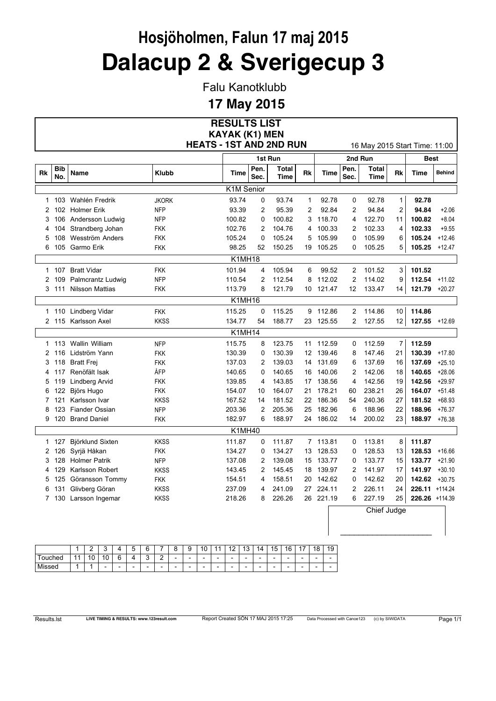Falu Kanotklubb

#### **17 May 2015**

|    |                   |                        |                                | <b>RESULTS LIST</b>   |                |                      |                |           |                |                               |                |                |               |
|----|-------------------|------------------------|--------------------------------|-----------------------|----------------|----------------------|----------------|-----------|----------------|-------------------------------|----------------|----------------|---------------|
|    |                   |                        |                                | <b>KAYAK (K1) MEN</b> |                |                      |                |           |                |                               |                |                |               |
|    |                   |                        | <b>HEATS - 1ST AND 2ND RUN</b> |                       |                |                      |                |           |                | 16 May 2015 Start Time: 11:00 |                |                |               |
|    |                   |                        |                                |                       |                | 1st Run              |                |           |                | 2nd Run                       |                | <b>Best</b>    |               |
| Rk | <b>Bib</b><br>No. | Name                   | <b>Klubb</b>                   | Time                  | Pen.<br>Sec.   | <b>Total</b><br>Time | Rk             | Time      | Pen.<br>Sec.   | <b>Total</b><br><b>Time</b>   | Rk             | Time           | <b>Behind</b> |
|    |                   |                        |                                | K1M Senior            |                |                      |                |           |                |                               |                |                |               |
| 1  | 103               | Wahlén Fredrik         | <b>JKORK</b>                   | 93.74                 | 0              | 93.74                | $\mathbf{1}$   | 92.78     | 0              | 92.78                         | 1              | 92.78          |               |
| 2  | 102               | <b>Holmer Erik</b>     | <b>NFP</b>                     | 93.39                 | $\overline{2}$ | 95.39                | $\overline{c}$ | 92.84     | 2              | 94.84                         | $\overline{2}$ | 94.84          | $+2.06$       |
| 3  | 106               | Andersson Ludwig       | <b>NFP</b>                     | 100.82                | $\Omega$       | 100.82               | 3              | 118.70    | 4              | 122.70                        | 11             | 100.82         | $+8.04$       |
| 4  | 104               | Strandberg Johan       | <b>FKK</b>                     | 102.76                | $\overline{2}$ | 104.76               | 4              | 100.33    | 2              | 102.33                        | 4              | 102.33         | $+9.55$       |
| 5  | 108               | Wesström Anders        | FKK                            | 105.24                | $\mathbf 0$    | 105.24               | 5              | 105.99    | $\mathbf{0}$   | 105.99                        | 6              | 105.24         | $+12.46$      |
| 6  | 105               | Garmo Erik             | FKK                            | 98.25                 | 52             | 150.25               |                | 19 105.25 | 0              | 105.25                        | 5              | 105.25         | +12.47        |
|    |                   |                        |                                | <b>K1MH18</b>         |                |                      |                |           |                |                               |                |                |               |
|    | 1 107             | <b>Bratt Vidar</b>     | <b>FKK</b>                     | 101.94                | 4              | 105.94               | 6              | 99.52     | 2              | 101.52                        | 3              | 101.52         |               |
| 2  | 109               | Palmcrantz Ludwig      | <b>NFP</b>                     | 110.54                | 2              | 112.54               | 8              | 112.02    | 2              | 114.02                        | 9              | 112.54         | $+11.02$      |
|    | 3 111             | <b>Nilsson Mattias</b> | <b>FKK</b>                     | 113.79                | 8              | 121.79               |                | 10 121.47 | 12             | 133.47                        | 14             | 121.79         | $+20.27$      |
|    |                   |                        |                                | K1MH16                |                |                      |                |           |                |                               |                |                |               |
|    | 1 110             | Lindberg Vidar         | <b>FKK</b>                     | 115.25                | 0              | 115.25               |                | 9 112.86  | 2              | 114.86                        | 10             | 114.86         |               |
|    |                   | 2 115 Karlsson Axel    | <b>KKSS</b>                    | 134.77                | 54             | 188.77               |                | 23 125.55 | 2              | 127.55                        | 12             | 127.55         | $+12.69$      |
|    |                   |                        |                                | <b>K1MH14</b>         |                |                      |                |           |                |                               |                |                |               |
|    | 1 113             | Wallin William         | <b>NFP</b>                     | 115.75                | 8              | 123.75               |                | 11 112.59 | 0              | 112.59                        | 7              | 112.59         |               |
| 2  | 116               | Lidström Yann          | <b>FKK</b>                     | 130.39                | 0              | 130.39               |                | 12 139.46 | 8              | 147.46                        | 21             | 130.39         | $+17.80$      |
| 3  | 118               | <b>Bratt Frei</b>      | <b>FKK</b>                     | 137.03                | $\overline{2}$ | 139.03               | 14             | 131.69    | 6              | 137.69                        | 16             | 137.69         | $+25.10$      |
| 4  | 117               | Renöfält Isak          | ÅFP                            | 140.65                | $\Omega$       | 140.65               | 16             | 140.06    | $\overline{2}$ | 142.06                        | 18             | 140.65         | $+28.06$      |
| 5  | 119               | Lindberg Arvid         | FKK                            | 139.85                | 4              | 143.85               |                | 17 138.56 | 4              | 142.56                        | 19             | 142.56         | $+29.97$      |
| 6  | 122               | Björs Hugo             | FKK                            | 154.07                | 10             | 164.07               | 21.            | 178.21    | 60             | 238.21                        | 26             | 164.07         | $+51.48$      |
| 7  | 121               | Karlsson Ivar          | <b>KKSS</b>                    | 167.52                | 14             | 181.52               |                | 22 186.36 | 54             | 240.36                        | 27             | 181.52         | $+68.93$      |
| 8  | 123               | <b>Fiander Ossian</b>  | <b>NFP</b>                     | 203.36                | $\overline{2}$ | 205.36               | 25             | 182.96    | 6              | 188.96                        | 22             | 188.96         | $+76.37$      |
| 9  | 120               | <b>Brand Daniel</b>    | <b>FKK</b>                     | 182.97                | 6              | 188.97               |                | 24 186.02 | 14             | 200.02                        | 23             | 188.97 +76.38  |               |
|    |                   |                        |                                | K1MH40                |                |                      |                |           |                |                               |                |                |               |
| 1  | 127               | Björklund Sixten       | <b>KKSS</b>                    | 111.87                | 0              | 111.87               |                | 7 113.81  | 0              | 113.81                        | 8              | 111.87         |               |
| 2  | 126               | Syrjä Håkan            | <b>FKK</b>                     | 134.27                | 0              | 134.27               |                | 13 128.53 | 0              | 128.53                        | 13             | 128.53         | $+16.66$      |
| 3  | 128               | <b>Holmer Patrik</b>   | <b>NFP</b>                     | 137.08                | 2              | 139.08               |                | 15 133.77 | 0              | 133.77                        | 15             | 133.77         | $+21.90$      |
| 4  | 129               | Karlsson Robert        | <b>KKSS</b>                    | 143.45                | 2              | 145.45               |                | 18 139.97 | 2              | 141.97                        | 17             | 141.97         | $+30.10$      |
| 5  | 125               | Göransson Tommy        | <b>FKK</b>                     | 154 51                | 4              | 158.51               |                | 20 142.62 | 0              | 142.62                        | 20             | 142.62         | $+30.75$      |
| 6  | 131               | Glivberg Göran         | <b>KKSS</b>                    | 237.09                | 4              | 241.09               |                | 27 224.11 | 2              | 226.11                        | 24             | 226.11 +114.24 |               |
|    |                   | 7 130 Larsson Ingemar  | <b>KKSS</b>                    | 218.26                | 8              | 226.26               |                | 26 221.19 | 6              | 227.19                        | 25             | 226.26 +114.39 |               |
|    |                   |                        |                                |                       |                |                      |                |           |                | Chief Judge                   |                |                |               |

|             |        | r  | r<br>s.                  |                          | -<br>∽                   | ⌒<br>∽                   | -                        | ⌒<br>о                   | g                        | $\sim$<br>л<br>u         |                          | $\epsilon$<br>и<br>. .   | $\sqrt{2}$<br>J          | 14                       | 15<br>J                  | R<br>-<br>u | $\sim$<br>. .            | 18                       | 19                       |
|-------------|--------|----|--------------------------|--------------------------|--------------------------|--------------------------|--------------------------|--------------------------|--------------------------|--------------------------|--------------------------|--------------------------|--------------------------|--------------------------|--------------------------|-------------|--------------------------|--------------------------|--------------------------|
| ouched      | и<br>ш | 10 | ۱٥                       | ∽<br>∼                   | 4                        | ⌒                        | ◠<br>-                   | $\overline{\phantom{0}}$ | $\overline{\phantom{a}}$ | $\overline{\phantom{a}}$ | $\overline{\phantom{a}}$ | $\overline{\phantom{a}}$ | $\overline{\phantom{a}}$ | $\overline{\phantom{0}}$ | $\overline{\phantom{0}}$ | -           | $\overline{\phantom{a}}$ | $\overline{\phantom{0}}$ | $\overline{\phantom{a}}$ |
| .<br>Missed |        |    | $\overline{\phantom{a}}$ | $\overline{\phantom{0}}$ | $\overline{\phantom{0}}$ | $\overline{\phantom{0}}$ | $\overline{\phantom{0}}$ | $\overline{\phantom{0}}$ | $\overline{\phantom{0}}$ | $\overline{\phantom{0}}$ | $\overline{\phantom{a}}$ | $\overline{\phantom{a}}$ | $\overline{\phantom{a}}$ | $\overline{\phantom{0}}$ | $\overline{\phantom{0}}$ | -           | $\overline{\phantom{a}}$ | $\overline{\phantom{0}}$ | $\overline{\phantom{a}}$ |

 $\_$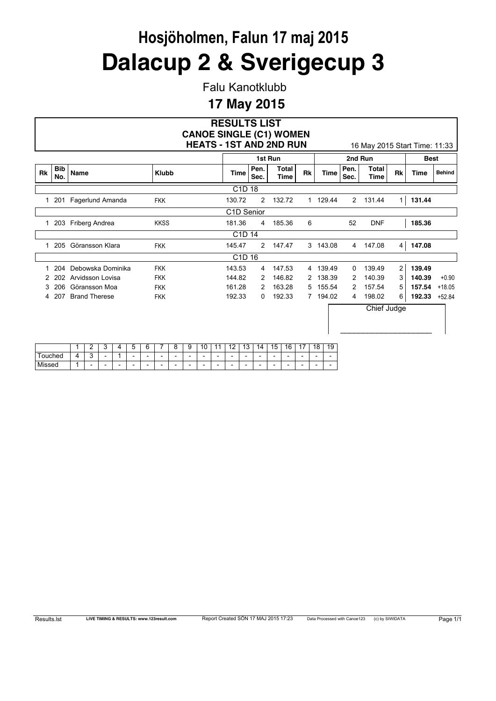Falu Kanotklubb

### **17 May 2015**

|              |                   |                      |                  |                          |                   |                          |                          |                          |   |                          |    |                          |        |                                | <b>RESULTS LIST</b>            |                          |                      | <b>CANOE SINGLE (C1) WOMEN</b> |              |                          |                |                               |                |             |               |
|--------------|-------------------|----------------------|------------------|--------------------------|-------------------|--------------------------|--------------------------|--------------------------|---|--------------------------|----|--------------------------|--------|--------------------------------|--------------------------------|--------------------------|----------------------|--------------------------------|--------------|--------------------------|----------------|-------------------------------|----------------|-------------|---------------|
|              |                   |                      |                  |                          |                   |                          |                          |                          |   |                          |    |                          |        |                                | <b>HEATS - 1ST AND 2ND RUN</b> |                          |                      |                                |              |                          |                | 16 May 2015 Start Time: 11:33 |                |             |               |
|              |                   |                      |                  |                          |                   |                          |                          |                          |   |                          |    |                          |        |                                |                                | 1st Run                  |                      |                                |              |                          |                | 2nd Run                       |                | <b>Best</b> |               |
| <b>Rk</b>    | <b>Bib</b><br>No. | Name                 |                  |                          |                   |                          |                          | <b>Klubb</b>             |   |                          |    |                          |        | <b>Time</b>                    | Pen.<br>Sec.                   |                          | <b>Total</b><br>Time | <b>Rk</b>                      |              | <b>Time</b>              | Pen.<br>Sec.   | <b>Total</b><br>Time          | <b>Rk</b>      | <b>Time</b> | <b>Behind</b> |
|              |                   |                      |                  |                          |                   |                          |                          |                          |   |                          |    |                          |        | C <sub>1</sub> D <sub>18</sub> |                                |                          |                      |                                |              |                          |                |                               |                |             |               |
| 1            |                   | 201 Fagerlund Amanda |                  |                          |                   |                          |                          | <b>FKK</b>               |   |                          |    |                          | 130.72 |                                | $\overline{2}$                 |                          | 132.72               |                                |              | 1 129.44                 | $\overline{2}$ | 131.44                        | 1 <sup>1</sup> | 131.44      |               |
|              |                   |                      |                  |                          |                   |                          |                          |                          |   |                          |    |                          |        | C1D Senior                     |                                |                          |                      |                                |              |                          |                |                               |                |             |               |
| $\mathbf{1}$ | 203               | Friberg Andrea       |                  |                          |                   |                          |                          | <b>KKSS</b>              |   |                          |    |                          | 181.36 |                                | 4                              |                          | 185.36               | 6                              |              |                          | 52             | <b>DNF</b>                    |                | 185.36      |               |
|              |                   |                      |                  |                          |                   |                          |                          |                          |   |                          |    |                          |        | C <sub>1</sub> D <sub>14</sub> |                                |                          |                      |                                |              |                          |                |                               |                |             |               |
| 1            | 205               | Göransson Klara      |                  |                          |                   |                          |                          | <b>FKK</b>               |   |                          |    |                          | 145.47 |                                | $\overline{2}$                 |                          | 147.47               |                                |              | 3 143.08                 | 4              | 147.08                        | 4              | 147.08      |               |
|              |                   |                      |                  |                          |                   |                          |                          |                          |   |                          |    |                          |        | C <sub>1</sub> D <sub>16</sub> |                                |                          |                      |                                |              |                          |                |                               |                |             |               |
| 1            | 204               |                      |                  |                          | Debowska Dominika |                          |                          | <b>FKK</b>               |   |                          |    |                          | 143.53 |                                | 4                              |                          | 147.53               |                                |              | 4 139.49                 | 0              | 139.49                        | $\overline{2}$ | 139.49      |               |
| 2            | 202               |                      | Arvidsson Lovisa |                          |                   |                          |                          | <b>FKK</b>               |   |                          |    |                          | 144.82 |                                | 2                              |                          | 146.82               |                                | $\mathbf{2}$ | 138.39                   | 2              | 140.39                        | 3              | 140.39      | $+0.90$       |
| 3            | 206               | Göransson Moa        |                  |                          |                   |                          |                          | <b>FKK</b>               |   |                          |    |                          | 161.28 |                                | 2                              |                          | 163.28               | 5                              |              | 155.54                   | 2              | 157.54                        | 5              | 157.54      | $+18.05$      |
| 4            | 207               | <b>Brand Therese</b> |                  |                          |                   |                          |                          | <b>FKK</b>               |   |                          |    |                          | 192.33 |                                | 0                              |                          | 192.33               |                                |              | 7 194.02                 | 4              | 198.02                        | 6              | 192.33      | $+52.84$      |
|              |                   |                      |                  |                          |                   |                          |                          |                          |   |                          |    |                          |        |                                |                                |                          |                      |                                |              |                          |                | Chief Judge                   |                |             |               |
|              |                   | 1                    | 2                | 3                        | 4                 | 5                        | 6                        | 7                        | 8 | 9                        | 10 | 11                       | 12     | 13                             | 14                             | 15                       | 16                   | 17                             | 18           | 19                       |                |                               |                |             |               |
| Touched      |                   | 4                    | 3                | $\overline{\phantom{a}}$ | 1                 | $\overline{\phantom{a}}$ | $\overline{\phantom{a}}$ | $\overline{\phantom{a}}$ |   | $\overline{\phantom{a}}$ |    | $\overline{\phantom{a}}$ |        |                                |                                | $\overline{\phantom{a}}$ |                      |                                |              | $\overline{\phantom{a}}$ |                |                               |                |             |               |

Missed 1 - - - - - - - - - - - - - - - - - -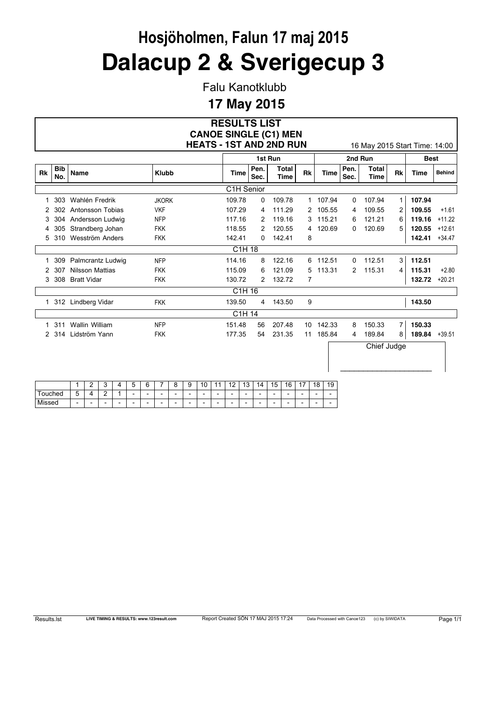Falu Kanotklubb

#### **17 May 2015**

#### **RESULTS LIST HEATS - 1ST AND 2ND RUN** 16 May 2015 Start Time: 14:00 **CANOE SINGLE (C1) MEN**

 $\_$ 

|           |                   |                    |              |                                |              | 1st Run              |           |          |              | 2nd Run              |                | <b>Best</b> |               |
|-----------|-------------------|--------------------|--------------|--------------------------------|--------------|----------------------|-----------|----------|--------------|----------------------|----------------|-------------|---------------|
| <b>Rk</b> | <b>Bib</b><br>No. | Name               | <b>Klubb</b> | <b>Time</b>                    | Pen.<br>Sec. | <b>Total</b><br>Time | <b>Rk</b> | Time     | Pen.<br>Sec. | <b>Total</b><br>Time | <b>Rk</b>      | Time        | <b>Behind</b> |
|           |                   |                    |              | C <sub>1</sub> H Senior        |              |                      |           |          |              |                      |                |             |               |
|           | 303               | Wahlén Fredrik     | <b>JKORK</b> | 109.78                         | 0            | 109.78               |           | 1 107.94 | 0            | 107.94               | $\mathbf{1}$   | 107.94      |               |
| 2         | 302               | Antonsson Tobias   | <b>VKF</b>   | 107.29                         | 4            | 111.29               | 2         | 105.55   | 4            | 109.55               | $\overline{2}$ | 109.55      | $+1.61$       |
| 3         | 304               | Andersson Ludwig   | <b>NFP</b>   | 117.16                         | 2            | 119.16               | 3         | 115.21   | 6            | 121.21               | 6              | 119.16      | $+11.22$      |
| 4         | 305               | Strandberg Johan   | <b>FKK</b>   | 118.55                         | 2            | 120.55               | 4         | 120.69   | 0            | 120.69               | 5              | 120.55      | $+12.61$      |
| 5         | 310               | Wesström Anders    | <b>FKK</b>   | 142.41                         | 0            | 142.41               | 8         |          |              |                      |                | 142.41      | $+34.47$      |
|           |                   |                    |              | C <sub>1</sub> H <sub>18</sub> |              |                      |           |          |              |                      |                |             |               |
|           | 309               | Palmcrantz Ludwig  | <b>NFP</b>   | 114.16                         | 8            | 122.16               | 6         | 112.51   | 0            | 112.51               | 3              | 112.51      |               |
| 2         | 307               | Nilsson Mattias    | <b>FKK</b>   | 115.09                         | 6            | 121.09               | 5         | 113.31   | 2            | 115.31               | 4              | 115.31      | $+2.80$       |
| 3         | 308               | <b>Bratt Vidar</b> | <b>FKK</b>   | 130.72                         | 2            | 132.72               | 7         |          |              |                      |                | 132.72      | $+20.21$      |
|           |                   |                    |              | C <sub>1</sub> H <sub>16</sub> |              |                      |           |          |              |                      |                |             |               |
| 1         |                   | 312 Lindberg Vidar | <b>FKK</b>   | 139.50                         | 4            | 143.50               | 9         |          |              |                      |                | 143.50      |               |
|           |                   |                    |              | C1H 14                         |              |                      |           |          |              |                      |                |             |               |
|           | 311               | Wallin William     | <b>NFP</b>   | 151.48                         | 56           | 207.48               | 10        | 142.33   | 8            | 150.33               | $\overline{7}$ | 150.33      |               |
|           | 2 314             | Lidström Yann      | FKK          | 177.35                         | 54           | 231.35               | 11        | 185.84   | 4            | 189.84               | 8              | 189.84      | $+39.51$      |
|           |                   |                    |              |                                |              |                      |           |          |              | Chief Judge          |                |             |               |

|               |                          |                          | ∽                        |   | -<br>∽<br>∼              | ⌒                        | -                        | ∽<br>∼                   | ⌒<br>У                   | $\overline{A}$<br>ں ، |                          | $\sqrt{2}$<br>. . | $\overline{a}$<br>$\overline{\phantom{a}}$ | 4                        | $\overline{A}$<br>15     | R<br>л<br>∼              | $\overline{A}$           | 18                       | 10<br>$\sim$ |
|---------------|--------------------------|--------------------------|--------------------------|---|--------------------------|--------------------------|--------------------------|--------------------------|--------------------------|-----------------------|--------------------------|-------------------|--------------------------------------------|--------------------------|--------------------------|--------------------------|--------------------------|--------------------------|--------------|
| <b>ouched</b> | -<br>~<br>ັ              |                          | ◠<br>-                   |   | $\overline{\phantom{0}}$ | $\overline{\phantom{0}}$ | $\overline{\phantom{a}}$ | $\overline{\phantom{0}}$ | $\overline{\phantom{0}}$ | -                     | $\overline{\phantom{0}}$ | -                 | $\overline{\phantom{0}}$                   | -                        | -                        | $\overline{\phantom{a}}$ | $\overline{\phantom{0}}$ | $\overline{\phantom{a}}$ | -            |
| Missed        | $\overline{\phantom{0}}$ | $\overline{\phantom{0}}$ | $\overline{\phantom{0}}$ | - | $\overline{\phantom{a}}$ | $\overline{\phantom{0}}$ | $\overline{\phantom{a}}$ | $\overline{\phantom{a}}$ | $\overline{\phantom{0}}$ | -                     | $\overline{\phantom{0}}$ | -                 | $\overline{\phantom{a}}$                   | $\overline{\phantom{a}}$ | $\overline{\phantom{0}}$ | $\overline{\phantom{0}}$ | $\overline{\phantom{0}}$ | $\overline{\phantom{a}}$ |              |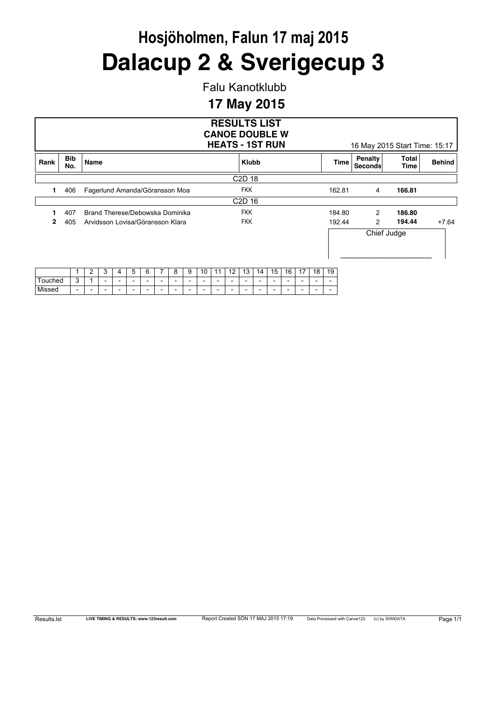Falu Kanotklubb

### **17 May 2015**

|         |                   |                |   |   |   |   |                                  |   |    |                          |    |                                | <b>RESULTS LIST</b><br><b>CANOE DOUBLE W</b><br><b>HEATS - 1ST RUN</b> |                          |    |    |    |                          |        |                    | 16 May 2015 Start Time: 15:17 |               |
|---------|-------------------|----------------|---|---|---|---|----------------------------------|---|----|--------------------------|----|--------------------------------|------------------------------------------------------------------------|--------------------------|----|----|----|--------------------------|--------|--------------------|-------------------------------|---------------|
| Rank    | <b>Bib</b><br>No. | Name           |   |   |   |   |                                  |   |    |                          |    | <b>Klubb</b>                   |                                                                        |                          |    |    |    |                          | Time   | Penalty<br>Seconds | Total<br>Time                 | <b>Behind</b> |
|         |                   |                |   |   |   |   |                                  |   |    |                          |    | C <sub>2</sub> D <sub>18</sub> |                                                                        |                          |    |    |    |                          |        |                    |                               |               |
| 1       | 406               |                |   |   |   |   | Fagerlund Amanda/Göransson Moa   |   |    |                          |    | <b>FKK</b>                     |                                                                        |                          |    |    |    |                          | 162.81 | 4                  | 166.81                        |               |
|         |                   |                |   |   |   |   |                                  |   |    |                          |    | C <sub>2</sub> D <sub>16</sub> |                                                                        |                          |    |    |    |                          |        |                    |                               |               |
|         | 407               |                |   |   |   |   | Brand Therese/Debowska Dominika  |   |    |                          |    | <b>FKK</b>                     |                                                                        |                          |    |    |    |                          | 184.80 | 2                  | 186.80                        |               |
| 2       | 405               |                |   |   |   |   | Arvidsson Lovisa/Göransson Klara |   |    |                          |    | <b>FKK</b>                     |                                                                        |                          |    |    |    |                          | 192.44 | 2                  | 194.44                        | $+7.64$       |
|         |                   |                |   |   |   |   |                                  |   |    |                          |    |                                |                                                                        |                          |    |    |    |                          |        |                    | Chief Judge                   |               |
|         |                   | $\overline{2}$ | 3 | 4 | 5 | 6 | 8                                | 9 | 10 | 11                       | 12 | 13                             | 14                                                                     | 15                       | 16 | 17 | 18 | 19                       |        |                    |                               |               |
| Touched | 3                 |                |   |   |   |   |                                  |   |    | $\overline{\phantom{0}}$ |    |                                |                                                                        | $\overline{\phantom{a}}$ |    |    |    | $\overline{\phantom{a}}$ |        |                    |                               |               |

Missed - - - - - - - - - - - - - - - - - - -

| Results.Ist |  |
|-------------|--|
|-------------|--|